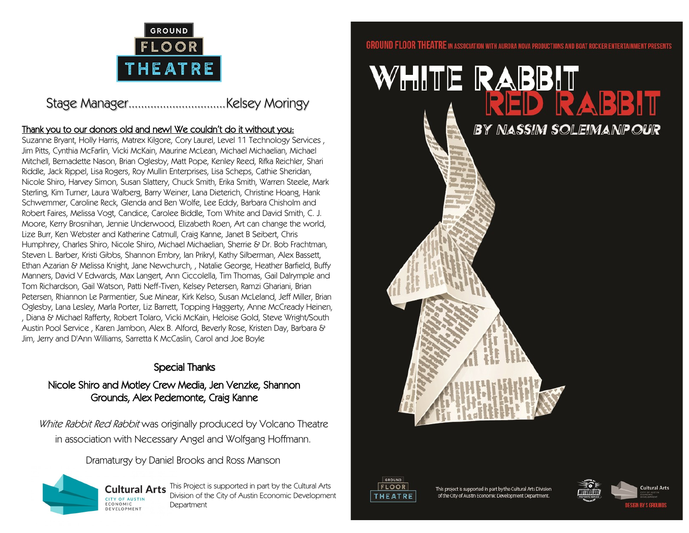

## Stage Manager...............................Kelsey Moringy

## Thank you to our donors old and new! We couldn't do it without you:

Suzanne Bryant, Holly Harris, Matrex Kilgore, Cory Laurel, Level 11 Technology Services , Jim Pitts, Cynthia McFarlin, Vicki McKain, Maurine McLean, Michael Michaelian, Michael Mitchell, Bernadette Nason, Brian Oglesby, Matt Pope, Kenley Reed, Rifka Reichler, Shari Riddle, Jack Rippel, Lisa Rogers, Roy Mullin Enterprises, Lisa Scheps, Cathie Sheridan, Nicole Shiro, Harvey Simon, Susan Slattery, Chuck Smith, Erika Smith, Warren Steele, Mark Sterling, Kim Turner, Laura Walberg, Barry Weiner, Lana Dieterich, Christine Hoang, Hank Schwemmer, Caroline Reck, Glenda and Ben Wolfe, Lee Eddy, Barbara Chisholm and Robert Faires, Melissa Vogt, Candice, Carolee Biddle, Tom White and David Smith, C. J. Moore, Kerry Brosnihan, Jennie Underwood, Elizabeth Roen, Art can change the world, Lize Burr, Ken Webster and Katherine Catmull, Craig Kanne, Janet B Seibert, Chris Humphrey, Charles Shiro, Nicole Shiro, Michael Michaelian, Sherrie & Dr. Bob Frachtman, Steven L. Barber, Kristi Gibbs, Shannon Embry, Ian Prikryl, Kathy Silberman, Alex Bassett, Ethan Azarian & Melissa Knight, Jane Newchurch, , Natalie George, Heather Barfield, Buffy Manners, David V Edwards, Max Langert, Ann Ciccolella, Tim Thomas, Gail Dalrymple and Tom Richardson, Gail Watson, Patti Neff-Tiven, Kelsey Petersen, Ramzi Ghariani, Brian Petersen, Rhiannon Le Parmentier, Sue Minear, Kirk Kelso, Susan McLeland, Jeff Miller, Brian Oglesby, Lana Lesley, Marla Porter, Liz Barrett, Topping Haggerty, Anne McCready Heinen, , Diana & Michael Rafferty, Robert Tolaro, Vicki McKain, Heloise Gold, Steve Wright/South Austin Pool Service , Karen Jambon, Alex B. Alford, Beverly Rose, Kristen Day, Barbara & Jim, Jerry and D'Ann Williams, Sarretta K McCaslin, Carol and Joe Boyle

## Special Thanks

## Nicole Shiro and Motley Crew Media, Jen Venzke, Shannon Grounds, Alex Pedemonte, Craig Kanne

White Rabbit Red Rabbit was originally produced by Volcano Theatre in association with Necessary Angel and Wolfgang Hoffmann.

Dramaturgy by Daniel Brooks and Ross Manson



**Cultural Arts** This Project is supported in part by the Cultural Arts Division of the City of Austin Economic Development Department

### **GROUND FLOOR THEATRE** IN ASSOCIATION WITH AURORA NOVA PRODUCTIONS AND BOAT ROCKER ENTERTAINMENT PRESENTS





This project is supported in part by the Cultural Arts Division of the City of Austin Economic Development Department.